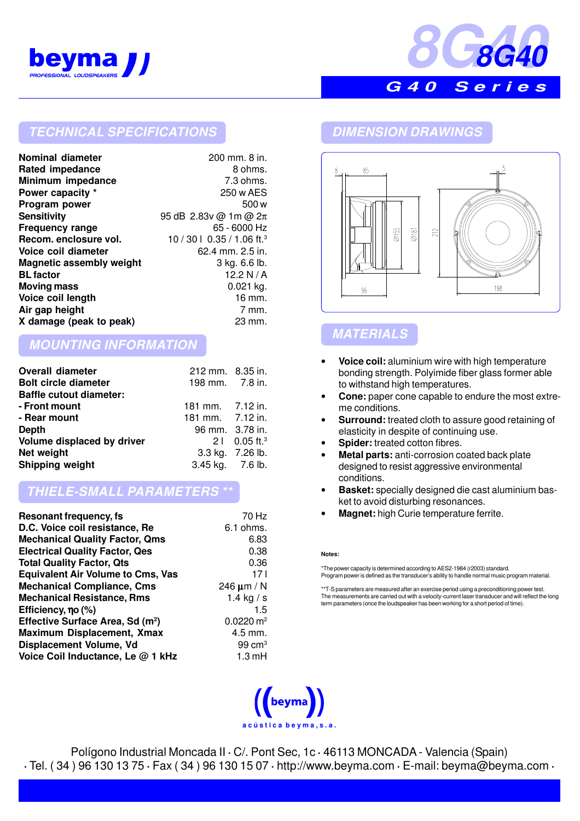



## **TECHNICAL SPECIFICATIONS DIMENSION DRAWINGS**

| Nominal diameter         | 200 mm. 8 in.                          |
|--------------------------|----------------------------------------|
| <b>Rated impedance</b>   | 8 ohms.                                |
| Minimum impedance        | 7.3 ohms.                              |
| Power capacity *         | 250 w AES                              |
| Program power            | 500 w                                  |
| <b>Sensitivity</b>       | 95 dB 2.83v @ 1m @ $2\pi$              |
| <b>Frequency range</b>   | 65 - 6000 Hz                           |
| Recom. enclosure vol.    | 10 / 30   0.35 / 1.06 ft. <sup>3</sup> |
| Voice coil diameter      | $62.4$ mm, $2.5$ in.                   |
| Magnetic assembly weight | 3 kg. 6.6 lb.                          |
| <b>BL</b> factor         | 12.2 N / A                             |
| <b>Moving mass</b>       | $0.021$ kg.                            |
| Voice coil length        | 16 mm.                                 |
| Air gap height           | 7 mm.                                  |
| X damage (peak to peak)  | 23 mm.                                 |

# **MOUNTING INFORMATION**

| <b>Overall diameter</b>        | 212 mm. 8.35 in. |                            |
|--------------------------------|------------------|----------------------------|
| <b>Bolt circle diameter</b>    | 198 mm. 7.8 in.  |                            |
| <b>Baffle cutout diameter:</b> |                  |                            |
| - Front mount                  | 181 mm. 7.12 in. |                            |
| - Rear mount                   | 181 mm. 7.12 in. |                            |
| <b>Depth</b>                   | 96 mm. 3.78 in.  |                            |
| Volume displaced by driver     |                  | $21$ 0.05 ft. <sup>3</sup> |
| Net weight                     |                  | 3.3 kg. 7.26 lb.           |
| Shipping weight                | 3.45 kg. 7.6 lb. |                            |

## **THIELE-SMALL PARAMETERS \*\***

| <b>Resonant frequency, fs</b>                | 70 Hz                   |
|----------------------------------------------|-------------------------|
| D.C. Voice coil resistance, Re               | $6.1$ ohms.             |
| <b>Mechanical Quality Factor, Qms</b>        | 6.83                    |
| <b>Electrical Quality Factor, Qes</b>        | 0.38                    |
| <b>Total Quality Factor, Qts</b>             | 0.36                    |
| <b>Equivalent Air Volume to Cms, Vas</b>     | 17 <sub>1</sub>         |
| <b>Mechanical Compliance, Cms</b>            | 246 $\mu$ m / N         |
| <b>Mechanical Resistance, Rms</b>            | 1.4 kg $/ s$            |
| Efficiency, no (%)                           | 1.5                     |
| Effective Surface Area, Sd (m <sup>2</sup> ) | $0.0220 \,\mathrm{m}^2$ |
| <b>Maximum Displacement, Xmax</b>            | $4.5$ mm.               |
| Displacement Volume, Vd                      | $99 \text{ cm}^3$       |
| Voice Coil Inductance, Le @ 1 kHz            | $1.3 \text{ mH}$        |
|                                              |                         |



# **MATERIALS**

- **Voice coil:** aluminium wire with high temperature bonding strength. Polyimide fiber glass former able to withstand high temperatures.
- **Cone:** paper cone capable to endure the most extreme conditions.
- **Surround:** treated cloth to assure good retaining of elasticity in despite of continuing use.
- **Spider:** treated cotton fibres.
- **Metal parts:** anti-corrosion coated back plate designed to resist aggressive environmental conditions.
- **Basket:** specially designed die cast aluminium basket to avoid disturbing resonances.
- **Magnet:** high Curie temperature ferrite.

#### **Notes:**

\*The power capacity is determined according to AES2-1984 (r2003) standard. Program power is defined as the transducer's ability to handle normal music program material.

\*\*T-S parameters are measured after an exercise period using a preconditioning power test. The measurements are carried out with a velocity-current laser transducer and will reflect the long term parameters (once the loudspeaker has been working for a short period of time).



Polígono Industrial Moncada II **·** C/. Pont Sec, 1c **·** 46113 MONCADA - Valencia (Spain) **·** Tel. ( 34 ) 96 130 13 75 **·** Fax ( 34 ) 96 130 15 07 **·** http://www.beyma.com **·** E-mail: beyma@beyma.com **·**